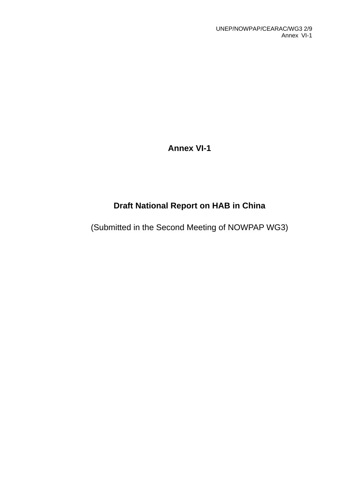**Annex VI-1** 

# **Draft National Report on HAB in China**

(Submitted in the Second Meeting of NOWPAP WG3)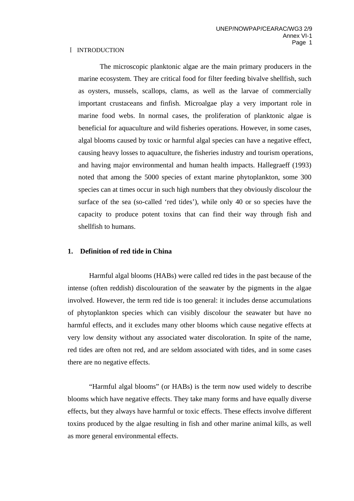#### Ⅰ INTRODUCTION

 The microscopic planktonic algae are the main primary producers in the marine ecosystem. They are critical food for filter feeding bivalve shellfish, such as oysters, mussels, scallops, clams, as well as the larvae of commercially important crustaceans and finfish. Microalgae play a very important role in marine food webs. In normal cases, the proliferation of planktonic algae is beneficial for aquaculture and wild fisheries operations. However, in some cases, algal blooms caused by toxic or harmful algal species can have a negative effect, causing heavy losses to aquaculture, the fisheries industry and tourism operations, and having major environmental and human health impacts. Hallegraeff (1993) noted that among the 5000 species of extant marine phytoplankton, some 300 species can at times occur in such high numbers that they obviously discolour the surface of the sea (so-called 'red tides'), while only 40 or so species have the capacity to produce potent toxins that can find their way through fish and shellfish to humans.

### **1. Definition of red tide in China**

 Harmful algal blooms (HABs) were called red tides in the past because of the intense (often reddish) discolouration of the seawater by the pigments in the algae involved. However, the term red tide is too general: it includes dense accumulations of phytoplankton species which can visibly discolour the seawater but have no harmful effects, and it excludes many other blooms which cause negative effects at very low density without any associated water discoloration. In spite of the name, red tides are often not red, and are seldom associated with tides, and in some cases there are no negative effects.

 "Harmful algal blooms" (or HABs) is the term now used widely to describe blooms which have negative effects. They take many forms and have equally diverse effects, but they always have harmful or toxic effects. These effects involve different toxins produced by the algae resulting in fish and other marine animal kills, as well as more general environmental effects.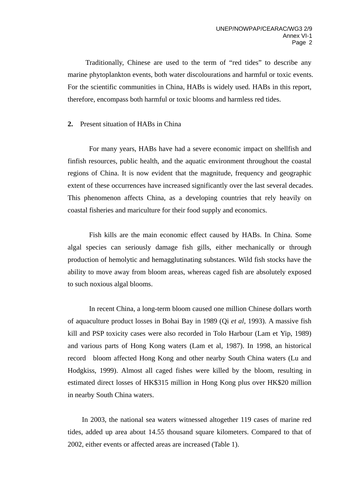Traditionally, Chinese are used to the term of "red tides" to describe any marine phytoplankton events, both water discolourations and harmful or toxic events. For the scientific communities in China, HABs is widely used. HABs in this report, therefore, encompass both harmful or toxic blooms and harmless red tides.

### **2.** Present situation of HABs in China

 For many years, HABs have had a severe economic impact on shellfish and finfish resources, public health, and the aquatic environment throughout the coastal regions of China. It is now evident that the magnitude, frequency and geographic extent of these occurrences have increased significantly over the last several decades. This phenomenon affects China, as a developing countries that rely heavily on coastal fisheries and mariculture for their food supply and economics.

 Fish kills are the main economic effect caused by HABs. In China. Some algal species can seriously damage fish gills, either mechanically or through production of hemolytic and hemagglutinating substances. Wild fish stocks have the ability to move away from bloom areas, whereas caged fish are absolutely exposed to such noxious algal blooms.

 In recent China, a long-term bloom caused one million Chinese dollars worth of aquaculture product losses in Bohai Bay in 1989 (Qi *et al*, 1993). A massive fish kill and PSP toxicity cases were also recorded in Tolo Harbour (Lam et Yip, 1989) and various parts of Hong Kong waters (Lam et al, 1987). In 1998, an historical record bloom affected Hong Kong and other nearby South China waters (Lu and Hodgkiss, 1999). Almost all caged fishes were killed by the bloom, resulting in estimated direct losses of HK\$315 million in Hong Kong plus over HK\$20 million in nearby South China waters.

In 2003, the national sea waters witnessed altogether 119 cases of marine red tides, added up area about 14.55 thousand square kilometers. Compared to that of 2002, either events or affected areas are increased (Table 1).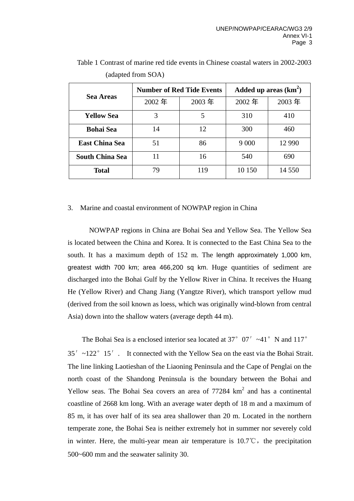|                        |       | <b>Number of Red Tide Events</b> | Added up areas $(km^2)$ |          |  |
|------------------------|-------|----------------------------------|-------------------------|----------|--|
| <b>Sea Areas</b>       | 2002年 | 2003年                            | 2002年                   | 2003年    |  |
| <b>Yellow Sea</b>      | 3     | 5                                | 310                     | 410      |  |
| <b>Bohai Sea</b>       | 14    | 12                               | 300                     | 460      |  |
| <b>East China Sea</b>  | 51    | 86                               | 9 0 0 0                 | 12 9 9 0 |  |
| <b>South China Sea</b> |       | 16                               | 540                     | 690      |  |
| <b>Total</b>           | 79    | 119                              | 10 150                  | 14 5 5 0 |  |

Table 1 Contrast of marine red tide events in Chinese coastal waters in 2002-2003 (adapted from SOA)

### 3. Marine and coastal environment of NOWPAP region in China

NOWPAP regions in China are Bohai Sea and Yellow Sea. The Yellow Sea is located between the China and Korea. It is connected to the East China Sea to the south. It has a maximum depth of 152 m. The length approximately 1,000 km, greatest width 700 km; area 466,200 sq km. Huge quantities of sediment are discharged into the Bohai Gulf by the Yellow River in China. It receives the Huang He (Yellow River) and Chang Jiang (Yangtze River), which transport yellow mud (derived from the soil known as loess, which was originally wind-blown from central Asia) down into the shallow waters (average depth 44 m).

The Bohai Sea is a enclosed interior sea located at 37°07′ $\sim$ 41°N and 117° 35′ ~122° 15′. It connected with the Yellow Sea on the east via the Bohai Strait. The line linking Laotieshan of the Liaoning Peninsula and the Cape of Penglai on the north coast of the Shandong Peninsula is the boundary between the Bohai and Yellow seas. The Bohai Sea covers an area of  $77284 \text{ km}^2$  and has a continental coastline of 2668 km long. With an average water depth of 18 m and a maximum of 85 m, it has over half of its sea area shallower than 20 m. Located in the northern temperate zone, the Bohai Sea is neither extremely hot in summer nor severely cold in winter. Here, the multi-year mean air temperature is  $10.7^{\circ}\text{C}$ , the precipitation 500~600 mm and the seawater salinity 30.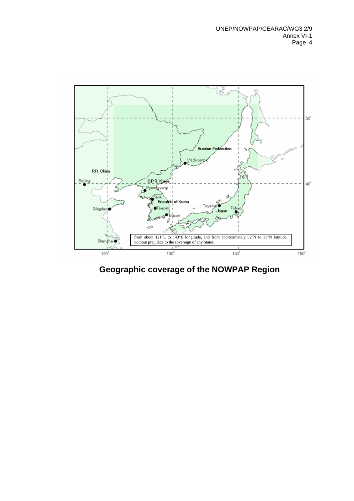

**Geographic coverage of the NOWPAP Region**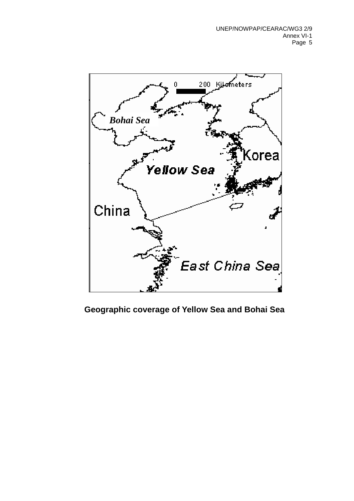

## **Geographic coverage of Yellow Sea and Bohai Sea**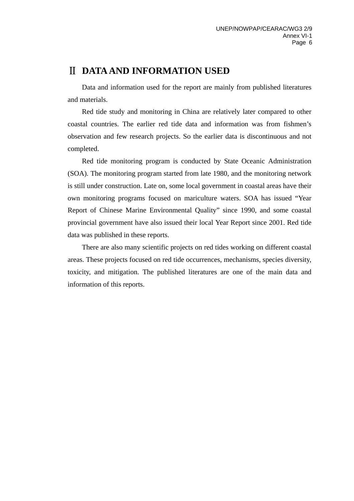# Ⅱ **DATA AND INFORMATION USED**

Data and information used for the report are mainly from published literatures and materials.

Red tide study and monitoring in China are relatively later compared to other coastal countries. The earlier red tide data and information was from fishmen's observation and few research projects. So the earlier data is discontinuous and not completed.

Red tide monitoring program is conducted by State Oceanic Administration (SOA). The monitoring program started from late 1980, and the monitoring network is still under construction. Late on, some local government in coastal areas have their own monitoring programs focused on mariculture waters. SOA has issued "Year Report of Chinese Marine Environmental Quality" since 1990, and some coastal provincial government have also issued their local Year Report since 2001. Red tide data was published in these reports.

There are also many scientific projects on red tides working on different coastal areas. These projects focused on red tide occurrences, mechanisms, species diversity, toxicity, and mitigation. The published literatures are one of the main data and information of this reports.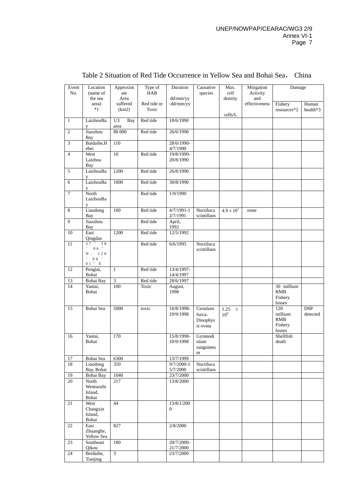| Event          | Location                                                                        | Approxim                  | Type of     | Duration                     | Causative                                  | Max.                             | Mitigation           | Damage                                            |                        |
|----------------|---------------------------------------------------------------------------------|---------------------------|-------------|------------------------------|--------------------------------------------|----------------------------------|----------------------|---------------------------------------------------|------------------------|
| No.            | (name of                                                                        | ate                       | HAB         |                              | species                                    | cell                             | Activity             |                                                   |                        |
|                | the sea<br>area)                                                                | Area<br>suffered          | Red tide or | dd/mm/yy<br>-dd/mm/yy        |                                            | density                          | and<br>effectiveness | Fishery                                           | Human                  |
|                | $*1$                                                                            | (km2)                     | Toxic       |                              |                                            | cells/L                          |                      | resources*2                                       | health*3               |
| $\mathbf{1}$   | LaizhouBa<br>y                                                                  | 1/3<br><b>Bay</b><br>area | Red tide    | 18/6/1990                    |                                            |                                  |                      |                                                   |                        |
| $\overline{2}$ | Jiaozhou<br>Bay                                                                 | 80 000                    | Red tide    | 26/6/1990                    |                                            |                                  |                      |                                                   |                        |
| 3              | Baidaihe, H<br>ebei                                                             | 110                       |             | 28/6/1990-<br>4/7/1990       |                                            |                                  |                      |                                                   |                        |
| $\overline{4}$ | West<br>Laizhou<br>Bay                                                          | 10                        | Red tide    | 19/8/1990-<br>20/8/1990      |                                            |                                  |                      |                                                   |                        |
| 5              | LaizhouBa<br>y                                                                  | 1200                      | Red tide    | 26/8/1990                    |                                            |                                  |                      |                                                   |                        |
| 6              | LaizhouBa<br>y                                                                  | 1000                      | Red tide    | 30/8/1990                    |                                            |                                  |                      |                                                   |                        |
| $\overline{7}$ | North<br>LaizhouBa<br>V                                                         |                           | Red tide    | 1/9/1990                     |                                            |                                  |                      |                                                   |                        |
| 8              | Liaodong<br>Bay                                                                 | 100                       | Red tide    | $4/7/1991-1$<br>2/7/1991     | Noctiluca<br>scintillans                   | $4.9 \times 10^{7}$              | none                 |                                                   |                        |
| 9              | Jiaozhou<br>Bay                                                                 |                           | Red tide    | April,<br>1992               |                                            |                                  |                      |                                                   |                        |
| 10             | East<br>Qingdao                                                                 | 1200                      | Red tide    | 12/5/1992                    |                                            |                                  |                      |                                                   |                        |
| 11             | $37^\circ$ $38$<br>$' = 0.6$ $''$<br>N, 120<br>0.6<br>0 1 $^{\prime\prime}$ – E |                           | Red tide    | 6/6/1995                     | Noctiluca<br>scintillans                   |                                  |                      |                                                   |                        |
| 12             | Penglai,<br>Bohai                                                               | $\mathbf{1}$              | Red tide    | 13/4/1997-<br>14/4/1997      |                                            |                                  |                      |                                                   |                        |
| 13             | Bohai Bay                                                                       | 3                         | Red tide    | 28/6/1997                    |                                            |                                  |                      |                                                   |                        |
| 14             | Yantai,<br>Bohai                                                                | 100                       | Toxic       | August,<br>1998              |                                            |                                  |                      | 30 millium<br>RMB<br>Fishery<br>losses            |                        |
| 15             | Bohai Sea                                                                       | 5000                      | toxic       | 16/8/1998-<br>19/9/1998      | Ceratium<br>furca,<br>Dinophys<br>is ovata | $1.25 \times$<br>10 <sup>9</sup> |                      | 120<br>millium<br><b>RMB</b><br>Fishery<br>losses | <b>DSP</b><br>detected |
| 16             | Yantai,<br>Bohai                                                                | 170                       |             | 15/8/1998-<br>10/9/1998      | Gymnodi<br>nium<br>sanguineu<br>m          |                                  |                      | Shellfish<br>death                                |                        |
| 17             | Bohai Sea                                                                       | 6300                      |             | 13/7/1999                    |                                            |                                  |                      |                                                   |                        |
| 18             | Liaodong<br>Bay, Bohai                                                          | 350                       |             | $9/7/2000 - 1$<br>5/7/2000   | Noctiluca<br>scintillans                   |                                  |                      |                                                   |                        |
| 19             | Bohai Bay                                                                       | 1040                      |             | 23/7/2000                    |                                            |                                  |                      |                                                   |                        |
| 20             | North<br>Wentuozhi<br>Island,                                                   | 217                       |             | 13/8/2000                    |                                            |                                  |                      |                                                   |                        |
|                | Bohai                                                                           |                           |             |                              |                                            |                                  |                      |                                                   |                        |
| 21             | West<br>Changxin<br>Island,<br>Bohai                                            | 44                        |             | 13/8/1/200<br>$\overline{0}$ |                                            |                                  |                      |                                                   |                        |
| 22             | East<br>Zhuanghe,<br>Yellow Sea                                                 | 827                       |             | 2/8/2000                     |                                            |                                  |                      |                                                   |                        |
| 23             | Southeast                                                                       | 180                       |             | 20/7/2000-                   |                                            |                                  |                      |                                                   |                        |
|                | Qikou                                                                           |                           |             | 21/7/2000                    |                                            |                                  |                      |                                                   |                        |
| 24             | Beidaihe,<br>Tianjing                                                           | 3                         |             | 23/7/2000                    |                                            |                                  |                      |                                                   |                        |

### Table 2 Situation of Red Tide Occurrence in Yellow Sea and Bohai Sea, China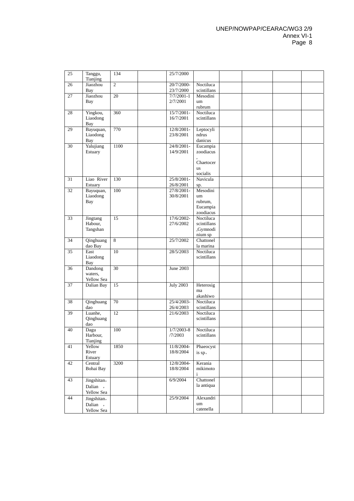#### UNEP/NOWPAP/CEARAC/WG3 2/9 Annex VI-1 Page 8

| 25 | Tanggu,<br>Tianjing  | 134             | 25/7/2000               |                          |  |  |
|----|----------------------|-----------------|-------------------------|--------------------------|--|--|
| 26 | Jiaozhou<br>Bay      | $\overline{2}$  | 20/7/2000-<br>23/7/2000 | Noctiluca<br>scintillans |  |  |
| 27 | Jiaozhou             | $\overline{20}$ | $7/7/2001-1$            | Mesodini                 |  |  |
|    | Bay                  |                 | 2/7/2001                | um<br>rubrum             |  |  |
| 28 | Yingkou,             | 360             | 15/7/2001-              | Noctiluca                |  |  |
|    | Liaodong<br>Bay      |                 | 16/7/2001               | scintillans              |  |  |
| 29 | Bayuquan,            | 770             | 12/8/2001-              | Leptocyli                |  |  |
|    | Liaodong             |                 | 23/8/2001               | ndrus                    |  |  |
|    | <b>Bay</b>           |                 |                         | danicus                  |  |  |
| 30 | Yalujiang<br>Estuary | 1100            | 24/8/2001-<br>14/9/2001 | Eucampia<br>zoodiacus    |  |  |
|    |                      |                 |                         | Chaetocer                |  |  |
|    |                      |                 |                         | <b>us</b>                |  |  |
|    |                      |                 |                         | socialis                 |  |  |
| 31 | Liao River           | 130             | 25/8/2001-              | Navicula                 |  |  |
|    | Estuary              |                 | 26/8/2001               | sp.                      |  |  |
| 32 | Bayuquan,            | 100             | 27/8/2001-              | Mesodini                 |  |  |
|    | Liaodong             |                 | 30/8/2001               | um                       |  |  |
|    | <b>Bay</b>           |                 |                         | rubrum,                  |  |  |
|    |                      |                 |                         | Eucampia<br>zoodiacus    |  |  |
| 33 | Jingtang             | 15              | 17/6/2002-              | Noctiluca                |  |  |
|    | Habour,              |                 | 27/6/2002               | scintillans              |  |  |
|    | Tangshan             |                 |                         | ,Gymnodi                 |  |  |
|    |                      |                 |                         | nium sp                  |  |  |
| 34 | Qinghuang            | 8               | 25/7/2002               | Chattonel                |  |  |
|    | dao Bay              |                 |                         | la marina                |  |  |
| 35 | East                 | 10              | 28/5/2003               | Noctiluca                |  |  |
|    | Liaodong<br>Bay      |                 |                         | scintillans              |  |  |
| 36 | Dandong              | 30              | June 2003               |                          |  |  |
|    | waters,              |                 |                         |                          |  |  |
|    | Yellow Sea           |                 |                         |                          |  |  |
| 37 | Dalian Bay           | 15              | <b>July 2003</b>        | Heterosig                |  |  |
|    |                      |                 |                         | ma                       |  |  |
|    |                      |                 |                         | akashiwo                 |  |  |
| 38 | Qinghuang<br>dao     | 70              | 25/4/2003-              | Noctiluca                |  |  |
| 39 | Luanhe,              | 12              | 26/4/2003<br>21/6/2003  | scintillans<br>Noctiluca |  |  |
|    | Qinghuang            |                 |                         | scintillans              |  |  |
|    | dao                  |                 |                         |                          |  |  |
| 40 | Dagu                 | 100             | $1/7/2003 - 8$          | Noctiluca                |  |  |
|    | Harbour,             |                 | /7/2003                 | scintillans              |  |  |
|    | Tianjing             |                 |                         |                          |  |  |
| 41 | Yellow               | 1850            | 11/8/2004-              | Phaeocyst                |  |  |
|    | River                |                 | 18/8/2004               | is sp.                   |  |  |
|    | Estuary              |                 |                         |                          |  |  |
| 42 | Central<br>Bohai Bay | 3200            | 12/8/2004-<br>18/8/2004 | Kerania<br>mikimoto      |  |  |
|    |                      |                 |                         | i                        |  |  |
| 43 | Jingshitan,          |                 | 6/9/2004                | Chattonel                |  |  |
|    | Dalian,              |                 |                         | la antiqua               |  |  |
|    | Yellow Sea           |                 |                         |                          |  |  |
| 44 | Jingshitan,          |                 | 25/9/2004               | Alexandri                |  |  |
|    | Dalian,              |                 |                         | um                       |  |  |
|    | Yellow Sea           |                 |                         | catenella                |  |  |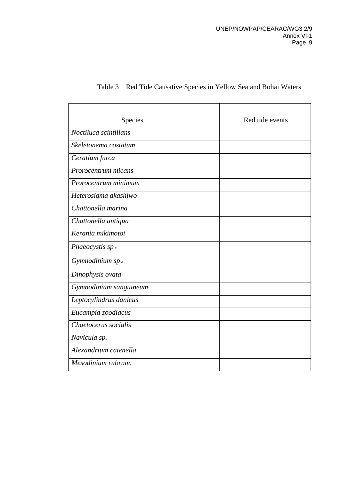| Species                | Red tide events |
|------------------------|-----------------|
| Noctiluca scintillans  |                 |
| Skeletonema costatum   |                 |
| Ceratium furca         |                 |
| Prorocentrum micans    |                 |
| Prorocentrum minimum   |                 |
| Heterosigma akashiwo   |                 |
| Chattonella marina     |                 |
| Chattonella antiqua    |                 |
| Kerania mikimotoi      |                 |
| Phaeocystis $spo$      |                 |
| Gymnodinium sp.        |                 |
| Dinophysis ovata       |                 |
| Gymnodinium sanguineum |                 |
| Leptocylindrus danicus |                 |
| Eucampia zoodiacus     |                 |
| Chaetocerus socialis   |                 |
| Navicula sp.           |                 |
| Alexandrium catenella  |                 |
| Mesodinium rubrum,     |                 |

### Table 3 Red Tide Causative Species in Yellow Sea and Bohai Waters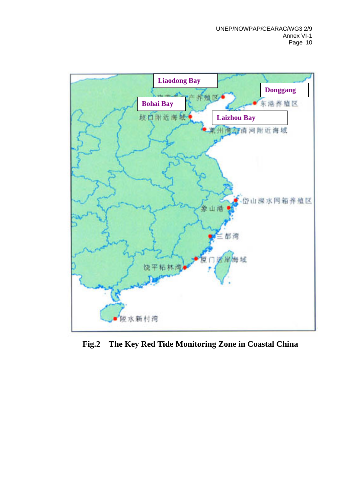

**Fig.2 The Key Red Tide Monitoring Zone in Coastal China**